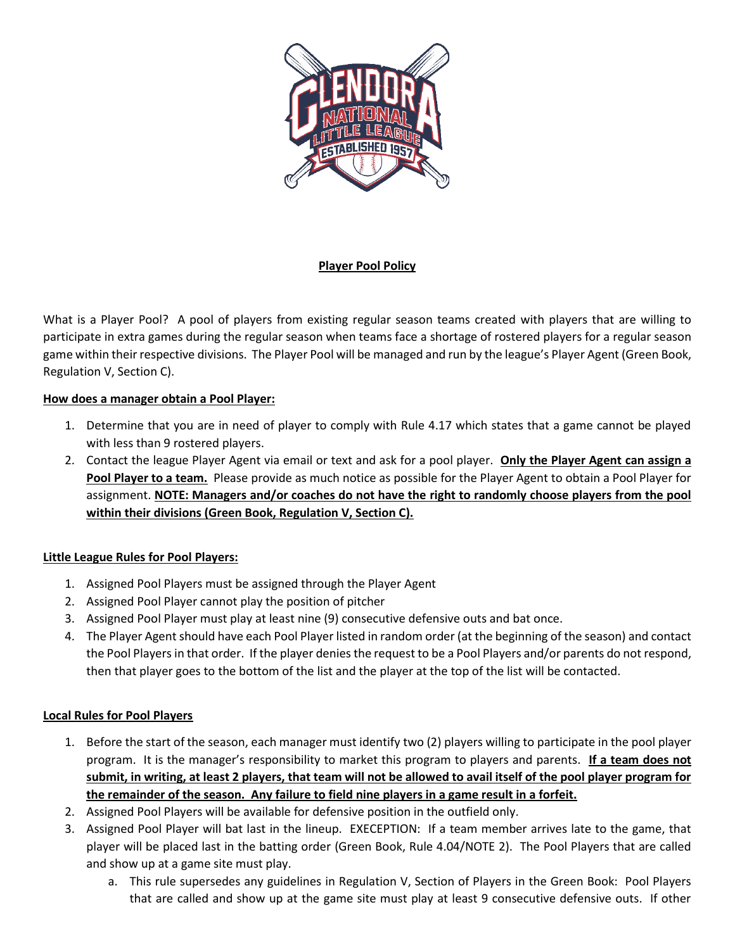

# **Player Pool Policy**

What is a Player Pool? A pool of players from existing regular season teams created with players that are willing to participate in extra games during the regular season when teams face a shortage of rostered players for a regular season game within their respective divisions. The Player Pool will be managed and run by the league's Player Agent (Green Book, Regulation V, Section C).

#### **How does a manager obtain a Pool Player:**

- 1. Determine that you are in need of player to comply with Rule 4.17 which states that a game cannot be played with less than 9 rostered players.
- 2. Contact the league Player Agent via email or text and ask for a pool player. **Only the Player Agent can assign a Pool Player to a team.** Please provide as much notice as possible for the Player Agent to obtain a Pool Player for assignment. **NOTE: Managers and/or coaches do not have the right to randomly choose players from the pool within their divisions (Green Book, Regulation V, Section C).**

### **Little League Rules for Pool Players:**

- 1. Assigned Pool Players must be assigned through the Player Agent
- 2. Assigned Pool Player cannot play the position of pitcher
- 3. Assigned Pool Player must play at least nine (9) consecutive defensive outs and bat once.
- 4. The Player Agent should have each Pool Player listed in random order (at the beginning of the season) and contact the Pool Players in that order. If the player denies the request to be a Pool Players and/or parents do not respond, then that player goes to the bottom of the list and the player at the top of the list will be contacted.

### **Local Rules for Pool Players**

- 1. Before the start of the season, each manager must identify two (2) players willing to participate in the pool player program. It is the manager's responsibility to market this program to players and parents. **If a team does not submit, in writing, at least 2 players, that team will not be allowed to avail itself of the pool player program for the remainder of the season. Any failure to field nine players in a game result in a forfeit.**
- 2. Assigned Pool Players will be available for defensive position in the outfield only.
- 3. Assigned Pool Player will bat last in the lineup. EXECEPTION: If a team member arrives late to the game, that player will be placed last in the batting order (Green Book, Rule 4.04/NOTE 2). The Pool Players that are called and show up at a game site must play.
	- a. This rule supersedes any guidelines in Regulation V, Section of Players in the Green Book: Pool Players that are called and show up at the game site must play at least 9 consecutive defensive outs. If other